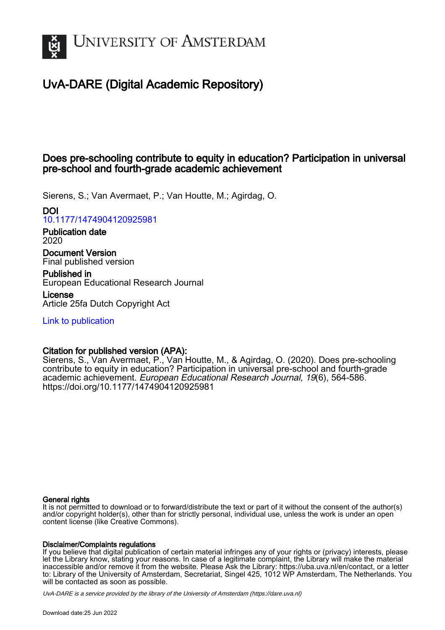

# UvA-DARE (Digital Academic Repository)

# Does pre-schooling contribute to equity in education? Participation in universal pre-school and fourth-grade academic achievement

Sierens, S.; Van Avermaet, P.; Van Houtte, M.; Agirdag, O.

# DOI

[10.1177/1474904120925981](https://doi.org/10.1177/1474904120925981)

Publication date 2020

Document Version Final published version

Published in European Educational Research Journal

License Article 25fa Dutch Copyright Act

[Link to publication](https://dare.uva.nl/personal/pure/en/publications/does-preschooling-contribute-to-equity-in-education-participation-in-universal-preschool-and-fourthgrade-academic-achievement(7946b886-18f6-4588-b603-5aa8ac547307).html)

# Citation for published version (APA):

Sierens, S., Van Avermaet, P., Van Houtte, M., & Agirdag, O. (2020). Does pre-schooling contribute to equity in education? Participation in universal pre-school and fourth-grade academic achievement. European Educational Research Journal, 19(6), 564-586. <https://doi.org/10.1177/1474904120925981>

## General rights

It is not permitted to download or to forward/distribute the text or part of it without the consent of the author(s) and/or copyright holder(s), other than for strictly personal, individual use, unless the work is under an open content license (like Creative Commons).

## Disclaimer/Complaints regulations

If you believe that digital publication of certain material infringes any of your rights or (privacy) interests, please let the Library know, stating your reasons. In case of a legitimate complaint, the Library will make the material inaccessible and/or remove it from the website. Please Ask the Library: https://uba.uva.nl/en/contact, or a letter to: Library of the University of Amsterdam, Secretariat, Singel 425, 1012 WP Amsterdam, The Netherlands. You will be contacted as soon as possible.

UvA-DARE is a service provided by the library of the University of Amsterdam (http*s*://dare.uva.nl)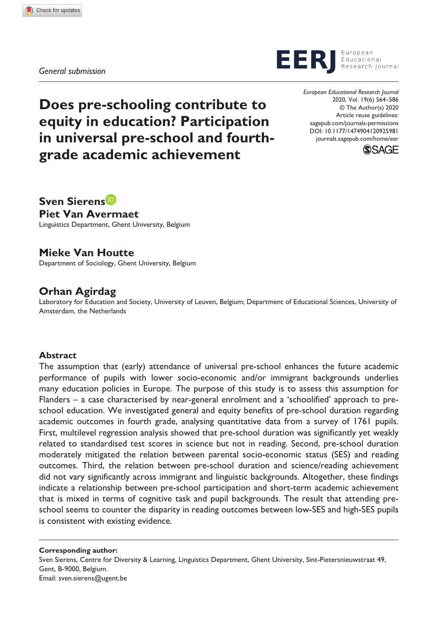*General submission*

**Does pre-schooling contribute to equity in education? Participation in universal pre-school and fourthgrade academic achievement**

https://doi.org/10.1177/1474904120925981 *European Educational Research Journal* 2020, Vol. 19(6) 564–586 © The Author(s) 2020 Article reuse guidelines: [sagepub.com/journals-permissions](https://uk.sagepub.com/en-gb/journals-permissions) [journals.sagepub.com/home/eer](https://journals.sagepub.com/home/eer)



**Sven Sierens Piet Van Avermaet** Linguistics Department, Ghent University, Belgium

# **Mieke Van Houtte**

Department of Sociology, Ghent University, Belgium

# **Orhan Agirdag**

Laboratory for Education and Society, University of Leuven, Belgium; Department of Educational Sciences, University of Amsterdam, the Netherlands

#### **Abstract**

The assumption that (early) attendance of universal pre-school enhances the future academic performance of pupils with lower socio-economic and/or immigrant backgrounds underlies many education policies in Europe. The purpose of this study is to assess this assumption for Flanders – a case characterised by near-general enrolment and a 'schoolified' approach to preschool education. We investigated general and equity benefits of pre-school duration regarding academic outcomes in fourth grade, analysing quantitative data from a survey of 1761 pupils. First, multilevel regression analysis showed that pre-school duration was significantly yet weakly related to standardised test scores in science but not in reading. Second, pre-school duration moderately mitigated the relation between parental socio-economic status (SES) and reading outcomes. Third, the relation between pre-school duration and science/reading achievement did not vary significantly across immigrant and linguistic backgrounds. Altogether, these findings indicate a relationship between pre-school participation and short-term academic achievement that is mixed in terms of cognitive task and pupil backgrounds. The result that attending preschool seems to counter the disparity in reading outcomes between low-SES and high-SES pupils is consistent with existing evidence.

**Corresponding author:** Sven Sierens, Centre for Diversity & Learning, Linguistics Department, Ghent University, Sint-Pietersnieuwstraat 49, Gent, B-9000, Belgium. Email: [sven.sierens@ugent.be](mailto:sven.sierens@ugent.be)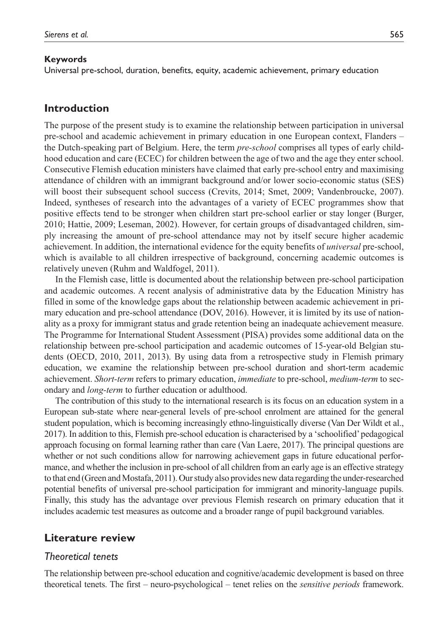#### **Keywords**

Universal pre-school, duration, benefits, equity, academic achievement, primary education

### **Introduction**

The purpose of the present study is to examine the relationship between participation in universal pre-school and academic achievement in primary education in one European context, Flanders – the Dutch-speaking part of Belgium. Here, the term *pre-school* comprises all types of early childhood education and care (ECEC) for children between the age of two and the age they enter school. Consecutive Flemish education ministers have claimed that early pre-school entry and maximising attendance of children with an immigrant background and/or lower socio-economic status (SES) will boost their subsequent school success (Crevits, 2014; Smet, 2009; Vandenbroucke, 2007). Indeed, syntheses of research into the advantages of a variety of ECEC programmes show that positive effects tend to be stronger when children start pre-school earlier or stay longer (Burger, 2010; Hattie, 2009; Leseman, 2002). However, for certain groups of disadvantaged children, simply increasing the amount of pre-school attendance may not by itself secure higher academic achievement. In addition, the international evidence for the equity benefits of *universal* pre-school, which is available to all children irrespective of background, concerning academic outcomes is relatively uneven (Ruhm and Waldfogel, 2011).

In the Flemish case, little is documented about the relationship between pre-school participation and academic outcomes. A recent analysis of administrative data by the Education Ministry has filled in some of the knowledge gaps about the relationship between academic achievement in primary education and pre-school attendance (DOV, 2016). However, it is limited by its use of nationality as a proxy for immigrant status and grade retention being an inadequate achievement measure. The Programme for International Student Assessment (PISA) provides some additional data on the relationship between pre-school participation and academic outcomes of 15-year-old Belgian students (OECD, 2010, 2011, 2013). By using data from a retrospective study in Flemish primary education, we examine the relationship between pre-school duration and short-term academic achievement. *Short-term* refers to primary education, *immediate* to pre-school, *medium-term* to secondary and *long-term* to further education or adulthood.

The contribution of this study to the international research is its focus on an education system in a European sub-state where near-general levels of pre-school enrolment are attained for the general student population, which is becoming increasingly ethno-linguistically diverse (Van Der Wildt et al., 2017). In addition to this, Flemish pre-school education is characterised by a 'schoolified' pedagogical approach focusing on formal learning rather than care (Van Laere, 2017). The principal questions are whether or not such conditions allow for narrowing achievement gaps in future educational performance, and whether the inclusion in pre-school of all children from an early age is an effective strategy to that end (Green and Mostafa, 2011). Our study also provides new data regarding the under-researched potential benefits of universal pre-school participation for immigrant and minority-language pupils. Finally, this study has the advantage over previous Flemish research on primary education that it includes academic test measures as outcome and a broader range of pupil background variables.

#### **Literature review**

#### *Theoretical tenets*

The relationship between pre-school education and cognitive/academic development is based on three theoretical tenets. The first – neuro-psychological – tenet relies on the *sensitive periods* framework.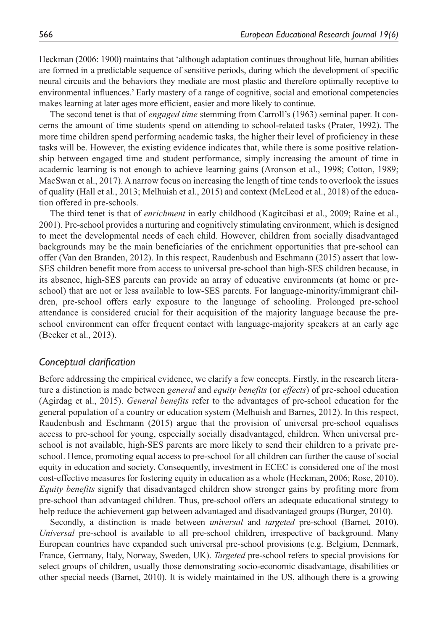Heckman (2006: 1900) maintains that 'although adaptation continues throughout life, human abilities are formed in a predictable sequence of sensitive periods, during which the development of specific neural circuits and the behaviors they mediate are most plastic and therefore optimally receptive to environmental influences.' Early mastery of a range of cognitive, social and emotional competencies makes learning at later ages more efficient, easier and more likely to continue.

The second tenet is that of *engaged time* stemming from Carroll's (1963) seminal paper. It concerns the amount of time students spend on attending to school-related tasks (Prater, 1992). The more time children spend performing academic tasks, the higher their level of proficiency in these tasks will be. However, the existing evidence indicates that, while there is some positive relationship between engaged time and student performance, simply increasing the amount of time in academic learning is not enough to achieve learning gains (Aronson et al., 1998; Cotton, 1989; MacSwan et al., 2017). A narrow focus on increasing the length of time tends to overlook the issues of quality (Hall et al., 2013; Melhuish et al., 2015) and context (McLeod et al., 2018) of the education offered in pre-schools.

The third tenet is that of *enrichment* in early childhood (Kagitcibasi et al., 2009; Raine et al., 2001). Pre-school provides a nurturing and cognitively stimulating environment, which is designed to meet the developmental needs of each child. However, children from socially disadvantaged backgrounds may be the main beneficiaries of the enrichment opportunities that pre-school can offer (Van den Branden, 2012). In this respect, Raudenbush and Eschmann (2015) assert that low-SES children benefit more from access to universal pre-school than high-SES children because, in its absence, high-SES parents can provide an array of educative environments (at home or preschool) that are not or less available to low-SES parents. For language-minority/immigrant children, pre-school offers early exposure to the language of schooling. Prolonged pre-school attendance is considered crucial for their acquisition of the majority language because the preschool environment can offer frequent contact with language-majority speakers at an early age (Becker et al., 2013).

### *Conceptual clarification*

Before addressing the empirical evidence, we clarify a few concepts. Firstly, in the research literature a distinction is made between *general* and *equity benefits* (or *effects*) of pre-school education (Agirdag et al., 2015). *General benefits* refer to the advantages of pre-school education for the general population of a country or education system (Melhuish and Barnes, 2012). In this respect, Raudenbush and Eschmann (2015) argue that the provision of universal pre-school equalises access to pre-school for young, especially socially disadvantaged, children. When universal preschool is not available, high-SES parents are more likely to send their children to a private preschool. Hence, promoting equal access to pre-school for all children can further the cause of social equity in education and society. Consequently, investment in ECEC is considered one of the most cost-effective measures for fostering equity in education as a whole (Heckman, 2006; Rose, 2010). *Equity benefits* signify that disadvantaged children show stronger gains by profiting more from pre-school than advantaged children. Thus, pre-school offers an adequate educational strategy to help reduce the achievement gap between advantaged and disadvantaged groups (Burger, 2010).

Secondly, a distinction is made between *universal* and *targeted* pre-school (Barnet, 2010). *Universal* pre-school is available to all pre-school children, irrespective of background. Many European countries have expanded such universal pre-school provisions (e.g. Belgium, Denmark, France, Germany, Italy, Norway, Sweden, UK). *Targeted* pre-school refers to special provisions for select groups of children, usually those demonstrating socio-economic disadvantage, disabilities or other special needs (Barnet, 2010). It is widely maintained in the US, although there is a growing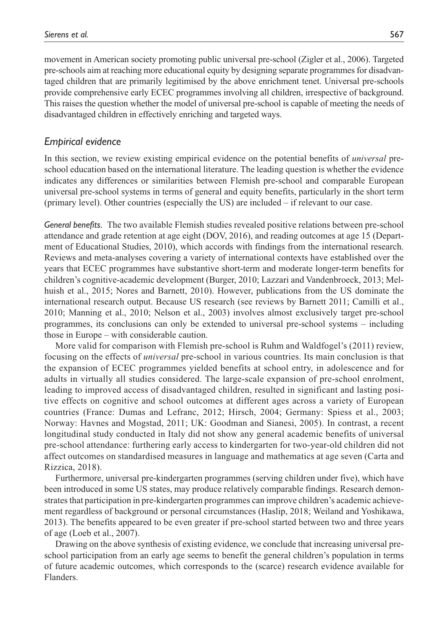movement in American society promoting public universal pre-school (Zigler et al., 2006). Targeted pre-schools aim at reaching more educational equity by designing separate programmes for disadvantaged children that are primarily legitimised by the above enrichment tenet. Universal pre-schools provide comprehensive early ECEC programmes involving all children, irrespective of background. This raises the question whether the model of universal pre-school is capable of meeting the needs of disadvantaged children in effectively enriching and targeted ways.

#### *Empirical evidence*

In this section, we review existing empirical evidence on the potential benefits of *universal* preschool education based on the international literature. The leading question is whether the evidence indicates any differences or similarities between Flemish pre-school and comparable European universal pre-school systems in terms of general and equity benefits, particularly in the short term (primary level). Other countries (especially the US) are included – if relevant to our case.

*General benefits.* The two available Flemish studies revealed positive relations between pre-school attendance and grade retention at age eight (DOV, 2016), and reading outcomes at age 15 (Department of Educational Studies, 2010), which accords with findings from the international research. Reviews and meta-analyses covering a variety of international contexts have established over the years that ECEC programmes have substantive short-term and moderate longer-term benefits for children's cognitive-academic development (Burger, 2010; Lazzari and Vandenbroeck, 2013; Melhuish et al., 2015; Nores and Barnett, 2010). However, publications from the US dominate the international research output. Because US research (see reviews by Barnett 2011; Camilli et al., 2010; Manning et al., 2010; Nelson et al., 2003) involves almost exclusively target pre-school programmes, its conclusions can only be extended to universal pre-school systems – including those in Europe – with considerable caution.

More valid for comparison with Flemish pre-school is Ruhm and Waldfogel's (2011) review, focusing on the effects of *universal* pre-school in various countries. Its main conclusion is that the expansion of ECEC programmes yielded benefits at school entry, in adolescence and for adults in virtually all studies considered. The large-scale expansion of pre-school enrolment, leading to improved access of disadvantaged children, resulted in significant and lasting positive effects on cognitive and school outcomes at different ages across a variety of European countries (France: Dumas and Lefranc, 2012; Hirsch, 2004; Germany: Spiess et al., 2003; Norway: Havnes and Mogstad, 2011; UK: Goodman and Sianesi, 2005). In contrast, a recent longitudinal study conducted in Italy did not show any general academic benefits of universal pre-school attendance: furthering early access to kindergarten for two-year-old children did not affect outcomes on standardised measures in language and mathematics at age seven (Carta and Rizzica, 2018).

Furthermore, universal pre-kindergarten programmes (serving children under five), which have been introduced in some US states, may produce relatively comparable findings. Research demonstrates that participation in pre-kindergarten programmes can improve children's academic achievement regardless of background or personal circumstances (Haslip, 2018; Weiland and Yoshikawa, 2013). The benefits appeared to be even greater if pre-school started between two and three years of age (Loeb et al., 2007).

Drawing on the above synthesis of existing evidence, we conclude that increasing universal preschool participation from an early age seems to benefit the general children's population in terms of future academic outcomes, which corresponds to the (scarce) research evidence available for Flanders.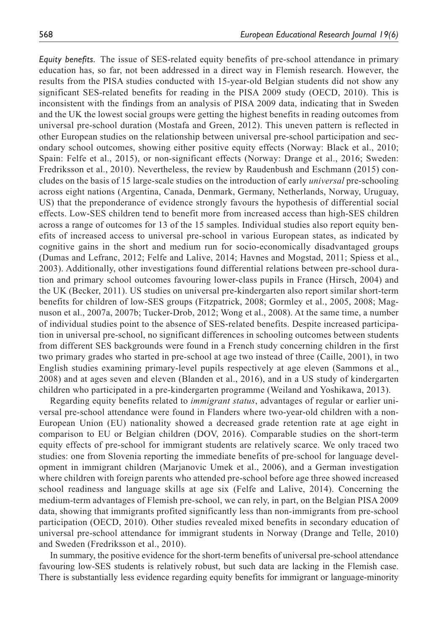*Equity benefits.* The issue of SES-related equity benefits of pre-school attendance in primary education has, so far, not been addressed in a direct way in Flemish research. However, the results from the PISA studies conducted with 15-year-old Belgian students did not show any significant SES-related benefits for reading in the PISA 2009 study (OECD, 2010). This is inconsistent with the findings from an analysis of PISA 2009 data, indicating that in Sweden and the UK the lowest social groups were getting the highest benefits in reading outcomes from universal pre-school duration (Mostafa and Green, 2012). This uneven pattern is reflected in other European studies on the relationship between universal pre-school participation and secondary school outcomes, showing either positive equity effects (Norway: Black et al., 2010; Spain: Felfe et al., 2015), or non-significant effects (Norway: Drange et al., 2016; Sweden: Fredriksson et al., 2010). Nevertheless, the review by Raudenbush and Eschmann (2015) concludes on the basis of 15 large-scale studies on the introduction of early *universal* pre-schooling across eight nations (Argentina, Canada, Denmark, Germany, Netherlands, Norway, Uruguay, US) that the preponderance of evidence strongly favours the hypothesis of differential social effects. Low-SES children tend to benefit more from increased access than high-SES children across a range of outcomes for 13 of the 15 samples. Individual studies also report equity benefits of increased access to universal pre-school in various European states, as indicated by cognitive gains in the short and medium run for socio-economically disadvantaged groups (Dumas and Lefranc, 2012; Felfe and Lalive, 2014; Havnes and Mogstad, 2011; Spiess et al., 2003). Additionally, other investigations found differential relations between pre-school duration and primary school outcomes favouring lower-class pupils in France (Hirsch, 2004) and the UK (Becker, 2011). US studies on universal pre-kindergarten also report similar short-term benefits for children of low-SES groups (Fitzpatrick, 2008; Gormley et al., 2005, 2008; Magnuson et al., 2007a, 2007b; Tucker-Drob, 2012; Wong et al., 2008). At the same time, a number of individual studies point to the absence of SES-related benefits. Despite increased participation in universal pre-school, no significant differences in schooling outcomes between students from different SES backgrounds were found in a French study concerning children in the first two primary grades who started in pre-school at age two instead of three (Caille, 2001), in two English studies examining primary-level pupils respectively at age eleven (Sammons et al., 2008) and at ages seven and eleven (Blanden et al., 2016), and in a US study of kindergarten children who participated in a pre-kindergarten programme (Weiland and Yoshikawa, 2013).

Regarding equity benefits related to *immigrant status*, advantages of regular or earlier universal pre-school attendance were found in Flanders where two-year-old children with a non-European Union (EU) nationality showed a decreased grade retention rate at age eight in comparison to EU or Belgian children (DOV, 2016). Comparable studies on the short-term equity effects of pre-school for immigrant students are relatively scarce. We only traced two studies: one from Slovenia reporting the immediate benefits of pre-school for language development in immigrant children (Marjanovic Umek et al., 2006), and a German investigation where children with foreign parents who attended pre-school before age three showed increased school readiness and language skills at age six (Felfe and Lalive, 2014). Concerning the medium-term advantages of Flemish pre-school, we can rely, in part, on the Belgian PISA 2009 data, showing that immigrants profited significantly less than non-immigrants from pre-school participation (OECD, 2010). Other studies revealed mixed benefits in secondary education of universal pre-school attendance for immigrant students in Norway (Drange and Telle, 2010) and Sweden (Fredriksson et al., 2010).

In summary, the positive evidence for the short-term benefits of universal pre-school attendance favouring low-SES students is relatively robust, but such data are lacking in the Flemish case. There is substantially less evidence regarding equity benefits for immigrant or language-minority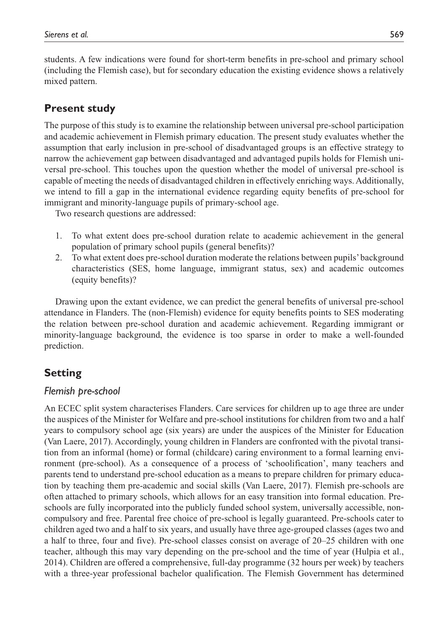students. A few indications were found for short-term benefits in pre-school and primary school (including the Flemish case), but for secondary education the existing evidence shows a relatively mixed pattern.

# **Present study**

The purpose of this study is to examine the relationship between universal pre-school participation and academic achievement in Flemish primary education. The present study evaluates whether the assumption that early inclusion in pre-school of disadvantaged groups is an effective strategy to narrow the achievement gap between disadvantaged and advantaged pupils holds for Flemish universal pre-school. This touches upon the question whether the model of universal pre-school is capable of meeting the needs of disadvantaged children in effectively enriching ways. Additionally, we intend to fill a gap in the international evidence regarding equity benefits of pre-school for immigrant and minority-language pupils of primary-school age.

Two research questions are addressed:

- 1. To what extent does pre-school duration relate to academic achievement in the general population of primary school pupils (general benefits)?
- 2. To what extent does pre-school duration moderate the relations between pupils' background characteristics (SES, home language, immigrant status, sex) and academic outcomes (equity benefits)?

Drawing upon the extant evidence, we can predict the general benefits of universal pre-school attendance in Flanders. The (non-Flemish) evidence for equity benefits points to SES moderating the relation between pre-school duration and academic achievement. Regarding immigrant or minority-language background, the evidence is too sparse in order to make a well-founded prediction.

# **Setting**

# *Flemish pre-school*

An ECEC split system characterises Flanders. Care services for children up to age three are under the auspices of the Minister for Welfare and pre-school institutions for children from two and a half years to compulsory school age (six years) are under the auspices of the Minister for Education (Van Laere, 2017). Accordingly, young children in Flanders are confronted with the pivotal transition from an informal (home) or formal (childcare) caring environment to a formal learning environment (pre-school). As a consequence of a process of 'schoolification', many teachers and parents tend to understand pre-school education as a means to prepare children for primary education by teaching them pre-academic and social skills (Van Laere, 2017). Flemish pre-schools are often attached to primary schools, which allows for an easy transition into formal education. Preschools are fully incorporated into the publicly funded school system, universally accessible, noncompulsory and free. Parental free choice of pre-school is legally guaranteed. Pre-schools cater to children aged two and a half to six years, and usually have three age-grouped classes (ages two and a half to three, four and five). Pre-school classes consist on average of 20–25 children with one teacher, although this may vary depending on the pre-school and the time of year (Hulpia et al., 2014). Children are offered a comprehensive, full-day programme (32 hours per week) by teachers with a three-year professional bachelor qualification. The Flemish Government has determined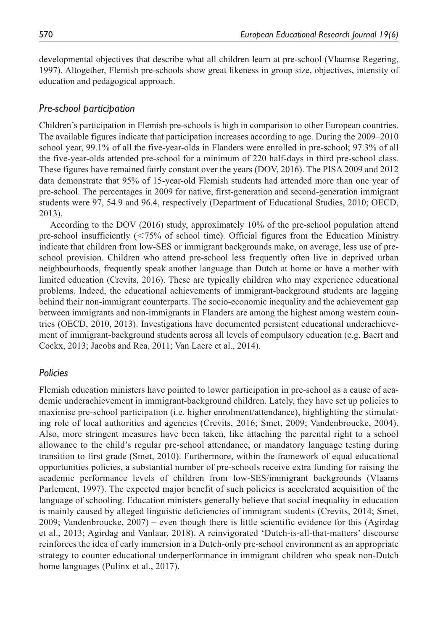developmental objectives that describe what all children learn at pre-school (Vlaamse Regering, 1997). Altogether, Flemish pre-schools show great likeness in group size, objectives, intensity of education and pedagogical approach.

#### *Pre-school participation*

Children's participation in Flemish pre-schools is high in comparison to other European countries. The available figures indicate that participation increases according to age. During the 2009–2010 school year, 99.1% of all the five-year-olds in Flanders were enrolled in pre-school; 97.3% of all the five-year-olds attended pre-school for a minimum of 220 half-days in third pre-school class. These figures have remained fairly constant over the years (DOV, 2016). The PISA 2009 and 2012 data demonstrate that 95% of 15-year-old Flemish students had attended more than one year of pre-school. The percentages in 2009 for native, first-generation and second-generation immigrant students were 97, 54.9 and 96.4, respectively (Department of Educational Studies, 2010; OECD, 2013).

According to the DOV (2016) study, approximately 10% of the pre-school population attend pre-school insufficiently (<75% of school time). Official figures from the Education Ministry indicate that children from low-SES or immigrant backgrounds make, on average, less use of preschool provision. Children who attend pre-school less frequently often live in deprived urban neighbourhoods, frequently speak another language than Dutch at home or have a mother with limited education (Crevits, 2016). These are typically children who may experience educational problems. Indeed, the educational achievements of immigrant-background students are lagging behind their non-immigrant counterparts. The socio-economic inequality and the achievement gap between immigrants and non-immigrants in Flanders are among the highest among western countries (OECD, 2010, 2013). Investigations have documented persistent educational underachievement of immigrant-background students across all levels of compulsory education (e.g. Baert and Cockx, 2013; Jacobs and Rea, 2011; Van Laere et al., 2014).

#### *Policies*

Flemish education ministers have pointed to lower participation in pre-school as a cause of academic underachievement in immigrant-background children. Lately, they have set up policies to maximise pre-school participation (i.e. higher enrolment/attendance), highlighting the stimulating role of local authorities and agencies (Crevits, 2016; Smet, 2009; Vandenbroucke, 2004). Also, more stringent measures have been taken, like attaching the parental right to a school allowance to the child's regular pre-school attendance, or mandatory language testing during transition to first grade (Smet, 2010). Furthermore, within the framework of equal educational opportunities policies, a substantial number of pre-schools receive extra funding for raising the academic performance levels of children from low-SES/immigrant backgrounds (Vlaams Parlement, 1997). The expected major benefit of such policies is accelerated acquisition of the language of schooling. Education ministers generally believe that social inequality in education is mainly caused by alleged linguistic deficiencies of immigrant students (Crevits, 2014; Smet, 2009; Vandenbroucke, 2007) – even though there is little scientific evidence for this (Agirdag et al., 2013; Agirdag and Vanlaar, 2018). A reinvigorated 'Dutch-is-all-that-matters' discourse reinforces the idea of early immersion in a Dutch-only pre-school environment as an appropriate strategy to counter educational underperformance in immigrant children who speak non-Dutch home languages (Pulinx et al., 2017).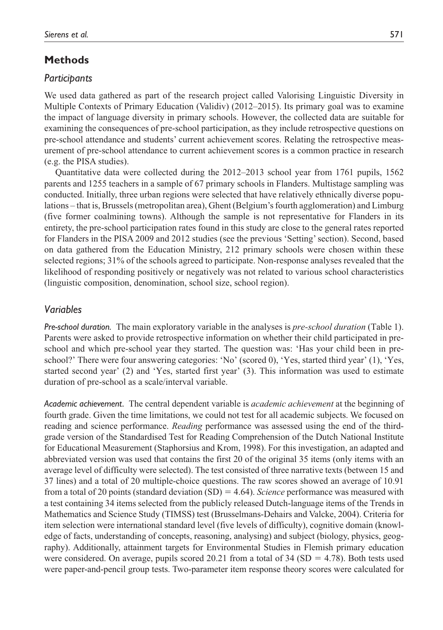# **Methods**

#### *Participants*

We used data gathered as part of the research project called Valorising Linguistic Diversity in Multiple Contexts of Primary Education (Validiv) (2012–2015). Its primary goal was to examine the impact of language diversity in primary schools. However, the collected data are suitable for examining the consequences of pre-school participation, as they include retrospective questions on pre-school attendance and students' current achievement scores. Relating the retrospective measurement of pre-school attendance to current achievement scores is a common practice in research (e.g. the PISA studies).

Quantitative data were collected during the 2012–2013 school year from 1761 pupils, 1562 parents and 1255 teachers in a sample of 67 primary schools in Flanders. Multistage sampling was conducted. Initially, three urban regions were selected that have relatively ethnically diverse populations – that is, Brussels (metropolitan area), Ghent (Belgium's fourth agglomeration) and Limburg (five former coalmining towns). Although the sample is not representative for Flanders in its entirety, the pre-school participation rates found in this study are close to the general rates reported for Flanders in the PISA 2009 and 2012 studies (see the previous 'Setting' section). Second, based on data gathered from the Education Ministry, 212 primary schools were chosen within these selected regions; 31% of the schools agreed to participate. Non-response analyses revealed that the likelihood of responding positively or negatively was not related to various school characteristics (linguistic composition, denomination, school size, school region).

# *Variables*

*Pre-school duration.* The main exploratory variable in the analyses is *pre-school duration* (Table 1). Parents were asked to provide retrospective information on whether their child participated in preschool and which pre-school year they started. The question was: 'Has your child been in preschool?' There were four answering categories: 'No' (scored 0), 'Yes, started third year' (1), 'Yes, started second year' (2) and 'Yes, started first year' (3). This information was used to estimate duration of pre-school as a scale/interval variable.

*Academic achievement.* The central dependent variable is *academic achievement* at the beginning of fourth grade. Given the time limitations, we could not test for all academic subjects. We focused on reading and science performance. *Reading* performance was assessed using the end of the thirdgrade version of the Standardised Test for Reading Comprehension of the Dutch National Institute for Educational Measurement (Staphorsius and Krom, 1998). For this investigation, an adapted and abbreviated version was used that contains the first 20 of the original 35 items (only items with an average level of difficulty were selected). The test consisted of three narrative texts (between 15 and 37 lines) and a total of 20 multiple-choice questions. The raw scores showed an average of 10.91 from a total of 20 points (standard deviation (SD) = 4.64). *Science* performance was measured with a test containing 34 items selected from the publicly released Dutch-language items of the Trends in Mathematics and Science Study (TIMSS) test (Brusselmans-Dehairs and Valcke, 2004). Criteria for item selection were international standard level (five levels of difficulty), cognitive domain (knowledge of facts, understanding of concepts, reasoning, analysing) and subject (biology, physics, geography). Additionally, attainment targets for Environmental Studies in Flemish primary education were considered. On average, pupils scored 20.21 from a total of  $34 \text{ (SD} = 4.78)$ . Both tests used were paper-and-pencil group tests. Two-parameter item response theory scores were calculated for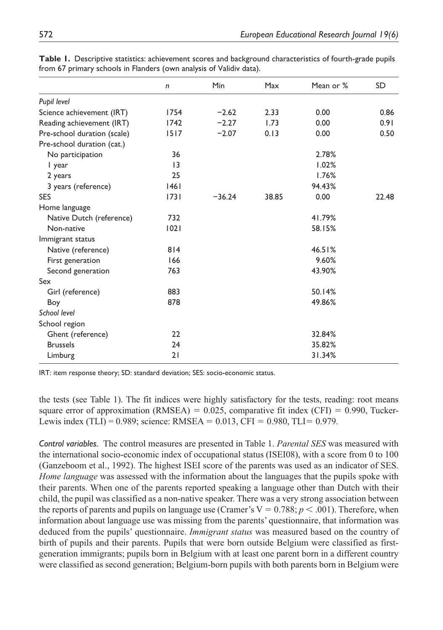|                             | $\mathsf{n}$ | Min      | Max   | Mean or % | SD    |
|-----------------------------|--------------|----------|-------|-----------|-------|
| Pupil level                 |              |          |       |           |       |
| Science achievement (IRT)   | 1754         | $-2.62$  | 2.33  | 0.00      | 0.86  |
| Reading achievement (IRT)   | 1742         | $-2.27$  | 1.73  | 0.00      | 0.91  |
| Pre-school duration (scale) | 1517         | $-2.07$  | 0.13  | 0.00      | 0.50  |
| Pre-school duration (cat.)  |              |          |       |           |       |
| No participation            | 36           |          |       | 2.78%     |       |
| I year                      | 13           |          |       | 1.02%     |       |
| 2 years                     | 25           |          |       | 1.76%     |       |
| 3 years (reference)         | 46           |          |       | 94.43%    |       |
| <b>SES</b>                  | 1731         | $-36.24$ | 38.85 | 0.00      | 22.48 |
| Home language               |              |          |       |           |       |
| Native Dutch (reference)    | 732          |          |       | 41.79%    |       |
| Non-native                  | 1021         |          |       | 58.15%    |       |
| Immigrant status            |              |          |       |           |       |
| Native (reference)          | 814          |          |       | 46.51%    |       |
| First generation            | 166          |          |       | 9.60%     |       |
| Second generation           | 763          |          |       | 43.90%    |       |
| Sex                         |              |          |       |           |       |
| Girl (reference)            | 883          |          |       | 50.14%    |       |
| Boy                         | 878          |          |       | 49.86%    |       |
| School level                |              |          |       |           |       |
| School region               |              |          |       |           |       |
| Ghent (reference)           | 22           |          |       | 32.84%    |       |
| <b>Brussels</b>             | 24           |          |       | 35.82%    |       |
| Limburg                     | 21           |          |       | 31.34%    |       |

**Table 1.** Descriptive statistics: achievement scores and background characteristics of fourth-grade pupils from 67 primary schools in Flanders (own analysis of Validiv data).

IRT: item response theory; SD: standard deviation; SES: socio-economic status.

the tests (see Table 1). The fit indices were highly satisfactory for the tests, reading: root means square error of approximation (RMSEA) =  $0.025$ , comparative fit index (CFI) = 0.990, Tucker-Lewis index (TLI) =  $0.989$ ; science: RMSEA =  $0.013$ , CFI =  $0.980$ , TLI =  $0.979$ .

*Control variables.* The control measures are presented in Table 1. *Parental SES* was measured with the international socio-economic index of occupational status (ISEI08), with a score from 0 to 100 (Ganzeboom et al., 1992). The highest ISEI score of the parents was used as an indicator of SES. *Home language* was assessed with the information about the languages that the pupils spoke with their parents. When one of the parents reported speaking a language other than Dutch with their child, the pupil was classified as a non-native speaker. There was a very strong association between the reports of parents and pupils on language use (Cramer's  $V = 0.788; p < .001$ ). Therefore, when information about language use was missing from the parents' questionnaire, that information was deduced from the pupils' questionnaire. *Immigrant status* was measured based on the country of birth of pupils and their parents. Pupils that were born outside Belgium were classified as firstgeneration immigrants; pupils born in Belgium with at least one parent born in a different country were classified as second generation; Belgium-born pupils with both parents born in Belgium were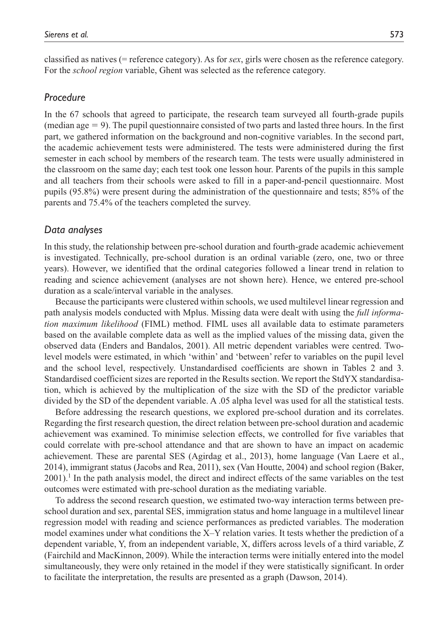classified as natives (= reference category). As for *sex*, girls were chosen as the reference category. For the *school region* variable, Ghent was selected as the reference category.

#### *Procedure*

In the 67 schools that agreed to participate, the research team surveyed all fourth-grade pupils (median age = 9). The pupil questionnaire consisted of two parts and lasted three hours. In the first part, we gathered information on the background and non-cognitive variables. In the second part, the academic achievement tests were administered. The tests were administered during the first semester in each school by members of the research team. The tests were usually administered in the classroom on the same day; each test took one lesson hour. Parents of the pupils in this sample and all teachers from their schools were asked to fill in a paper-and-pencil questionnaire. Most pupils (95.8%) were present during the administration of the questionnaire and tests; 85% of the parents and 75.4% of the teachers completed the survey.

#### *Data analyses*

In this study, the relationship between pre-school duration and fourth-grade academic achievement is investigated. Technically, pre-school duration is an ordinal variable (zero, one, two or three years). However, we identified that the ordinal categories followed a linear trend in relation to reading and science achievement (analyses are not shown here). Hence, we entered pre-school duration as a scale/interval variable in the analyses.

Because the participants were clustered within schools, we used multilevel linear regression and path analysis models conducted with Mplus. Missing data were dealt with using the *full information maximum likelihood* (FIML) method. FIML uses all available data to estimate parameters based on the available complete data as well as the implied values of the missing data, given the observed data (Enders and Bandalos, 2001). All metric dependent variables were centred. Twolevel models were estimated, in which 'within' and 'between' refer to variables on the pupil level and the school level, respectively. Unstandardised coefficients are shown in Tables 2 and 3. Standardised coefficient sizes are reported in the Results section. We report the StdYX standardisation, which is achieved by the multiplication of the size with the SD of the predictor variable divided by the SD of the dependent variable. A .05 alpha level was used for all the statistical tests.

Before addressing the research questions, we explored pre-school duration and its correlates. Regarding the first research question, the direct relation between pre-school duration and academic achievement was examined. To minimise selection effects, we controlled for five variables that could correlate with pre-school attendance and that are shown to have an impact on academic achievement. These are parental SES (Agirdag et al., 2013), home language (Van Laere et al., 2014), immigrant status (Jacobs and Rea, 2011), sex (Van Houtte, 2004) and school region (Baker,  $2001$ ).<sup>1</sup> In the path analysis model, the direct and indirect effects of the same variables on the test outcomes were estimated with pre-school duration as the mediating variable.

To address the second research question, we estimated two-way interaction terms between preschool duration and sex, parental SES, immigration status and home language in a multilevel linear regression model with reading and science performances as predicted variables. The moderation model examines under what conditions the X–Y relation varies. It tests whether the prediction of a dependent variable, Y, from an independent variable, X, differs across levels of a third variable, Z (Fairchild and MacKinnon, 2009). While the interaction terms were initially entered into the model simultaneously, they were only retained in the model if they were statistically significant. In order to facilitate the interpretation, the results are presented as a graph (Dawson, 2014).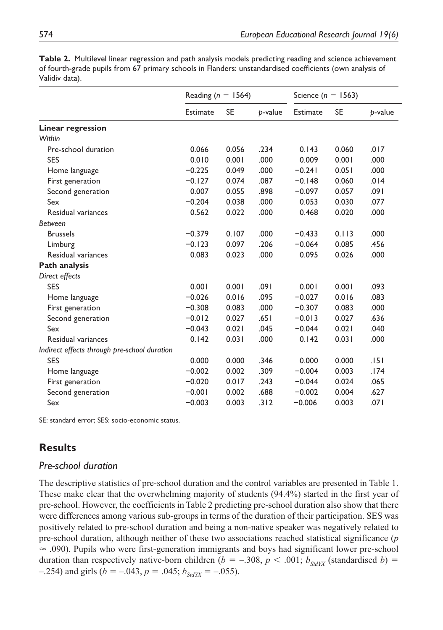|                                              | Reading ( $n = 1564$ ) |           |         | Science ( $n = 1563$ ) |           |         |
|----------------------------------------------|------------------------|-----------|---------|------------------------|-----------|---------|
|                                              | Estimate               | <b>SE</b> | b-value | Estimate               | <b>SE</b> | p-value |
| <b>Linear regression</b>                     |                        |           |         |                        |           |         |
| Within                                       |                        |           |         |                        |           |         |
| Pre-school duration                          | 0.066                  | 0.056     | .234    | 0.143                  | 0.060     | .017    |
| <b>SES</b>                                   | 0.010                  | 0.001     | .000    | 0.009                  | 0.001     | .000    |
| Home language                                | $-0.225$               | 0.049     | .000    | $-0.241$               | 0.051     | .000    |
| First generation                             | $-0.127$               | 0.074     | .087    | $-0.148$               | 0.060     | .014    |
| Second generation                            | 0.007                  | 0.055     | .898    | $-0.097$               | 0.057     | .091    |
| Sex                                          | $-0.204$               | 0.038     | .000    | 0.053                  | 0.030     | .077    |
| Residual variances                           | 0.562                  | 0.022     | .000    | 0.468                  | 0.020     | .000    |
| <b>Between</b>                               |                        |           |         |                        |           |         |
| <b>Brussels</b>                              | $-0.379$               | 0.107     | .000    | $-0.433$               | 0.113     | .000    |
| Limburg                                      | $-0.123$               | 0.097     | .206    | $-0.064$               | 0.085     | .456    |
| Residual variances                           | 0.083                  | 0.023     | .000    | 0.095                  | 0.026     | .000    |
| Path analysis                                |                        |           |         |                        |           |         |
| Direct effects                               |                        |           |         |                        |           |         |
| <b>SES</b>                                   | 0.001                  | 0.001     | .091    | 0.001                  | 0.001     | .093    |
| Home language                                | $-0.026$               | 0.016     | .095    | $-0.027$               | 0.016     | .083    |
| First generation                             | $-0.308$               | 0.083     | .000    | $-0.307$               | 0.083     | .000    |
| Second generation                            | $-0.012$               | 0.027     | .651    | $-0.013$               | 0.027     | .636    |
| Sex                                          | $-0.043$               | 0.021     | .045    | $-0.044$               | 0.021     | .040    |
| Residual variances                           | 0.142                  | 0.031     | .000    | 0.142                  | 0.031     | .000    |
| Indirect effects through pre-school duration |                        |           |         |                        |           |         |
| <b>SES</b>                                   | 0.000                  | 0.000     | .346    | 0.000                  | 0.000     | .151    |
| Home language                                | $-0.002$               | 0.002     | .309    | $-0.004$               | 0.003     | .174    |
| First generation                             | $-0.020$               | 0.017     | .243    | $-0.044$               | 0.024     | .065    |
| Second generation                            | $-0.001$               | 0.002     | .688    | $-0.002$               | 0.004     | .627    |
| Sex                                          | $-0.003$               | 0.003     | .312    | $-0.006$               | 0.003     | .071    |

**Table 2.** Multilevel linear regression and path analysis models predicting reading and science achievement of fourth-grade pupils from 67 primary schools in Flanders: unstandardised coefficients (own analysis of Validiv data).

SE: standard error; SES: socio-economic status.

# **Results**

# *Pre-school duration*

The descriptive statistics of pre-school duration and the control variables are presented in Table 1. These make clear that the overwhelming majority of students (94.4%) started in the first year of pre-school. However, the coefficients in Table 2 predicting pre-school duration also show that there were differences among various sub-groups in terms of the duration of their participation. SES was positively related to pre-school duration and being a non-native speaker was negatively related to pre-school duration, although neither of these two associations reached statistical significance (*p* ≈ .090). Pupils who were first-generation immigrants and boys had significant lower pre-school duration than respectively native-born children ( $b = -.308$ ,  $p < .001$ ;  $b_{S/JYX}$  (standardised *b*) =  $(-.254)$  and girls ( $b = -.043$ ,  $p = .045$ ;  $b_{S/dYX} = -.055$ ).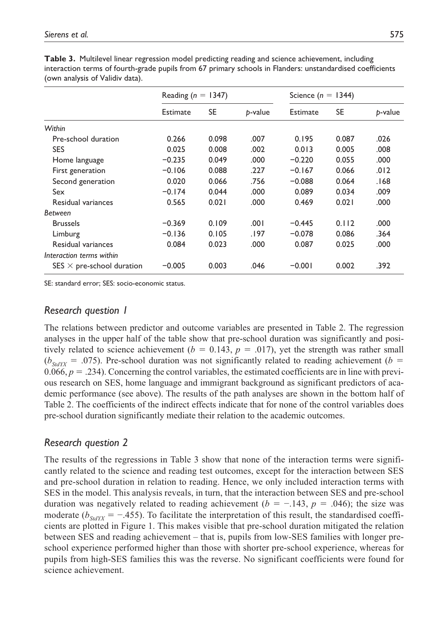|                                  | Reading ( $n = 1347$ ) |           |         | Science ( $n = 1344$ ) |           |         |
|----------------------------------|------------------------|-----------|---------|------------------------|-----------|---------|
|                                  | Estimate               | <b>SE</b> | b-value | Estimate               | <b>SE</b> | p-value |
| Within                           |                        |           |         |                        |           |         |
| Pre-school duration              | 0.266                  | 0.098     | .007    | 0.195                  | 0.087     | .026    |
| <b>SES</b>                       | 0.025                  | 0.008     | .002    | 0.013                  | 0.005     | .008    |
| Home language                    | $-0.235$               | 0.049     | .000    | $-0.220$               | 0.055     | .000    |
| First generation                 | $-0.106$               | 0.088     | .227    | $-0.167$               | 0.066     | .012    |
| Second generation                | 0.020                  | 0.066     | .756    | $-0.088$               | 0.064     | .168    |
| Sex                              | $-0.174$               | 0.044     | .000    | 0.089                  | 0.034     | .009    |
| Residual variances               | 0.565                  | 0.021     | .000    | 0.469                  | 0.021     | .000    |
| <b>Between</b>                   |                        |           |         |                        |           |         |
| <b>Brussels</b>                  | $-0.369$               | 0.109     | .001    | $-0.445$               | 0.112     | .000    |
| Limburg                          | $-0.136$               | 0.105     | .197    | $-0.078$               | 0.086     | .364    |
| Residual variances               | 0.084                  | 0.023     | .000    | 0.087                  | 0.025     | .000    |
| Interaction terms within         |                        |           |         |                        |           |         |
| SES $\times$ pre-school duration | $-0.005$               | 0.003     | .046    | $-0.001$               | 0.002     | .392    |

**Table 3.** Multilevel linear regression model predicting reading and science achievement, including interaction terms of fourth-grade pupils from 67 primary schools in Flanders: unstandardised coefficients (own analysis of Validiv data).

SE: standard error; SES: socio-economic status.

### *Research question 1*

The relations between predictor and outcome variables are presented in Table 2. The regression analyses in the upper half of the table show that pre-school duration was significantly and positively related to science achievement ( $b = 0.143$ ,  $p = .017$ ), yet the strength was rather small  $(b<sub>SdYY</sub> = .075)$ . Pre-school duration was not significantly related to reading achievement (*b* = 0.066,  $p = 0.234$ ). Concerning the control variables, the estimated coefficients are in line with previous research on SES, home language and immigrant background as significant predictors of academic performance (see above). The results of the path analyses are shown in the bottom half of Table 2. The coefficients of the indirect effects indicate that for none of the control variables does pre-school duration significantly mediate their relation to the academic outcomes.

# *Research question 2*

The results of the regressions in Table 3 show that none of the interaction terms were significantly related to the science and reading test outcomes, except for the interaction between SES and pre-school duration in relation to reading. Hence, we only included interaction terms with SES in the model. This analysis reveals, in turn, that the interaction between SES and pre-school duration was negatively related to reading achievement ( $b = -143$ ,  $p = .046$ ); the size was moderate ( $b_{S<sub>tdYX</sub>}$  = -.455). To facilitate the interpretation of this result, the standardised coefficients are plotted in Figure 1. This makes visible that pre-school duration mitigated the relation between SES and reading achievement – that is, pupils from low-SES families with longer preschool experience performed higher than those with shorter pre-school experience, whereas for pupils from high-SES families this was the reverse. No significant coefficients were found for science achievement.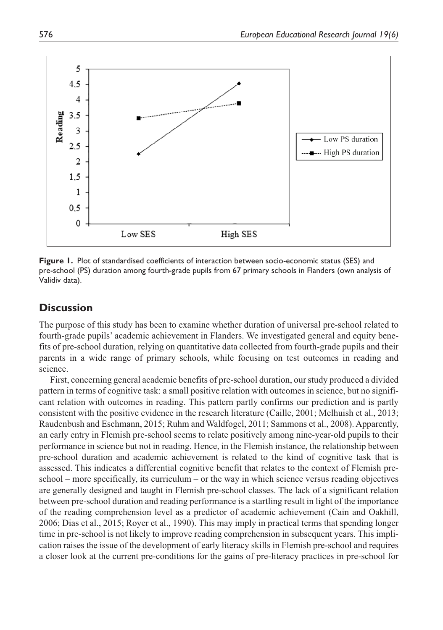

**Figure 1.** Plot of standardised coefficients of interaction between socio-economic status (SES) and pre-school (PS) duration among fourth-grade pupils from 67 primary schools in Flanders (own analysis of Validiv data).

# **Discussion**

The purpose of this study has been to examine whether duration of universal pre-school related to fourth-grade pupils' academic achievement in Flanders. We investigated general and equity benefits of pre-school duration, relying on quantitative data collected from fourth-grade pupils and their parents in a wide range of primary schools, while focusing on test outcomes in reading and science.

First, concerning general academic benefits of pre-school duration, our study produced a divided pattern in terms of cognitive task: a small positive relation with outcomes in science, but no significant relation with outcomes in reading. This pattern partly confirms our prediction and is partly consistent with the positive evidence in the research literature (Caille, 2001; Melhuish et al., 2013; Raudenbush and Eschmann, 2015; Ruhm and Waldfogel, 2011; Sammons et al., 2008). Apparently, an early entry in Flemish pre-school seems to relate positively among nine-year-old pupils to their performance in science but not in reading. Hence, in the Flemish instance, the relationship between pre-school duration and academic achievement is related to the kind of cognitive task that is assessed. This indicates a differential cognitive benefit that relates to the context of Flemish preschool – more specifically, its curriculum – or the way in which science versus reading objectives are generally designed and taught in Flemish pre-school classes. The lack of a significant relation between pre-school duration and reading performance is a startling result in light of the importance of the reading comprehension level as a predictor of academic achievement (Cain and Oakhill, 2006; Dias et al., 2015; Royer et al., 1990). This may imply in practical terms that spending longer time in pre-school is not likely to improve reading comprehension in subsequent years. This implication raises the issue of the development of early literacy skills in Flemish pre-school and requires a closer look at the current pre-conditions for the gains of pre-literacy practices in pre-school for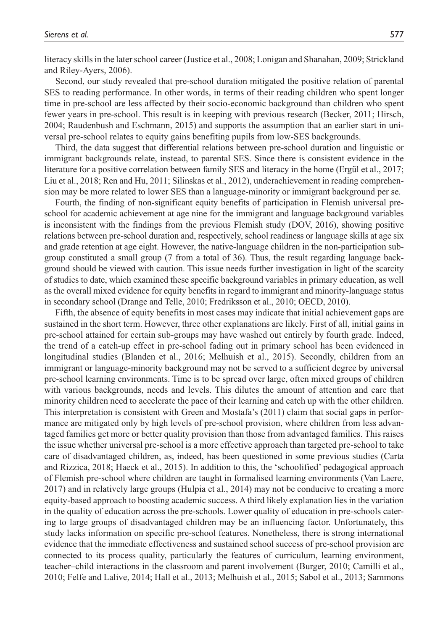literacy skills in the later school career (Justice et al., 2008; Lonigan and Shanahan, 2009; Strickland and Riley-Ayers, 2006).

Second, our study revealed that pre-school duration mitigated the positive relation of parental SES to reading performance. In other words, in terms of their reading children who spent longer time in pre-school are less affected by their socio-economic background than children who spent fewer years in pre-school. This result is in keeping with previous research (Becker, 2011; Hirsch, 2004; Raudenbush and Eschmann, 2015) and supports the assumption that an earlier start in universal pre-school relates to equity gains benefiting pupils from low-SES backgrounds.

Third, the data suggest that differential relations between pre-school duration and linguistic or immigrant backgrounds relate, instead, to parental SES. Since there is consistent evidence in the literature for a positive correlation between family SES and literacy in the home (Ergül et al., 2017; Liu et al., 2018; Ren and Hu, 2011; Silinskas et al., 2012), underachievement in reading comprehension may be more related to lower SES than a language-minority or immigrant background per se.

Fourth, the finding of non-significant equity benefits of participation in Flemish universal preschool for academic achievement at age nine for the immigrant and language background variables is inconsistent with the findings from the previous Flemish study (DOV, 2016), showing positive relations between pre-school duration and, respectively, school readiness or language skills at age six and grade retention at age eight. However, the native-language children in the non-participation subgroup constituted a small group (7 from a total of 36). Thus, the result regarding language background should be viewed with caution. This issue needs further investigation in light of the scarcity of studies to date, which examined these specific background variables in primary education, as well as the overall mixed evidence for equity benefits in regard to immigrant and minority-language status in secondary school (Drange and Telle, 2010; Fredriksson et al., 2010; OECD, 2010).

Fifth, the absence of equity benefits in most cases may indicate that initial achievement gaps are sustained in the short term. However, three other explanations are likely. First of all, initial gains in pre-school attained for certain sub-groups may have washed out entirely by fourth grade. Indeed, the trend of a catch-up effect in pre-school fading out in primary school has been evidenced in longitudinal studies (Blanden et al., 2016; Melhuish et al., 2015). Secondly, children from an immigrant or language-minority background may not be served to a sufficient degree by universal pre-school learning environments. Time is to be spread over large, often mixed groups of children with various backgrounds, needs and levels. This dilutes the amount of attention and care that minority children need to accelerate the pace of their learning and catch up with the other children. This interpretation is consistent with Green and Mostafa's (2011) claim that social gaps in performance are mitigated only by high levels of pre-school provision, where children from less advantaged families get more or better quality provision than those from advantaged families. This raises the issue whether universal pre-school is a more effective approach than targeted pre-school to take care of disadvantaged children, as, indeed, has been questioned in some previous studies (Carta and Rizzica, 2018; Haeck et al., 2015). In addition to this, the 'schoolified' pedagogical approach of Flemish pre-school where children are taught in formalised learning environments (Van Laere, 2017) and in relatively large groups (Hulpia et al., 2014) may not be conducive to creating a more equity-based approach to boosting academic success. A third likely explanation lies in the variation in the quality of education across the pre-schools. Lower quality of education in pre-schools catering to large groups of disadvantaged children may be an influencing factor. Unfortunately, this study lacks information on specific pre-school features. Nonetheless, there is strong international evidence that the immediate effectiveness and sustained school success of pre-school provision are connected to its process quality, particularly the features of curriculum, learning environment, teacher–child interactions in the classroom and parent involvement (Burger, 2010; Camilli et al., 2010; Felfe and Lalive, 2014; Hall et al., 2013; Melhuish et al., 2015; Sabol et al., 2013; Sammons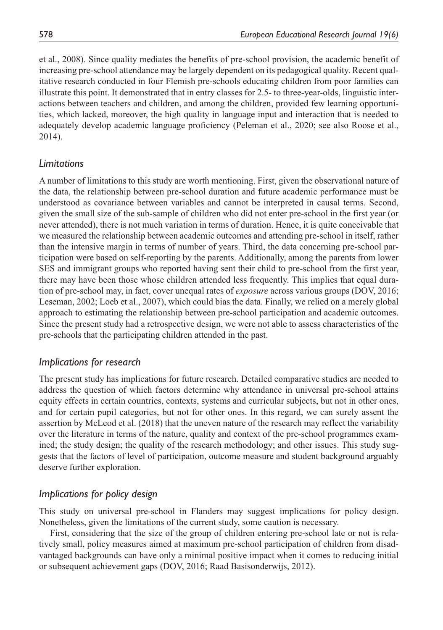et al., 2008). Since quality mediates the benefits of pre-school provision, the academic benefit of increasing pre-school attendance may be largely dependent on its pedagogical quality. Recent qualitative research conducted in four Flemish pre-schools educating children from poor families can illustrate this point. It demonstrated that in entry classes for 2.5- to three-year-olds, linguistic interactions between teachers and children, and among the children, provided few learning opportunities, which lacked, moreover, the high quality in language input and interaction that is needed to adequately develop academic language proficiency (Peleman et al., 2020; see also Roose et al., 2014).

# *Limitations*

A number of limitations to this study are worth mentioning. First, given the observational nature of the data, the relationship between pre-school duration and future academic performance must be understood as covariance between variables and cannot be interpreted in causal terms. Second, given the small size of the sub-sample of children who did not enter pre-school in the first year (or never attended), there is not much variation in terms of duration. Hence, it is quite conceivable that we measured the relationship between academic outcomes and attending pre-school in itself, rather than the intensive margin in terms of number of years. Third, the data concerning pre-school participation were based on self-reporting by the parents. Additionally, among the parents from lower SES and immigrant groups who reported having sent their child to pre-school from the first year, there may have been those whose children attended less frequently. This implies that equal duration of pre-school may, in fact, cover unequal rates of *exposure* across various groups (DOV, 2016; Leseman, 2002; Loeb et al., 2007), which could bias the data. Finally, we relied on a merely global approach to estimating the relationship between pre-school participation and academic outcomes. Since the present study had a retrospective design, we were not able to assess characteristics of the pre-schools that the participating children attended in the past.

# *Implications for research*

The present study has implications for future research. Detailed comparative studies are needed to address the question of which factors determine why attendance in universal pre-school attains equity effects in certain countries, contexts, systems and curricular subjects, but not in other ones, and for certain pupil categories, but not for other ones. In this regard, we can surely assent the assertion by McLeod et al. (2018) that the uneven nature of the research may reflect the variability over the literature in terms of the nature, quality and context of the pre-school programmes examined; the study design; the quality of the research methodology; and other issues. This study suggests that the factors of level of participation, outcome measure and student background arguably deserve further exploration.

### *Implications for policy design*

This study on universal pre-school in Flanders may suggest implications for policy design. Nonetheless, given the limitations of the current study, some caution is necessary.

First, considering that the size of the group of children entering pre-school late or not is relatively small, policy measures aimed at maximum pre-school participation of children from disadvantaged backgrounds can have only a minimal positive impact when it comes to reducing initial or subsequent achievement gaps (DOV, 2016; Raad Basisonderwijs, 2012).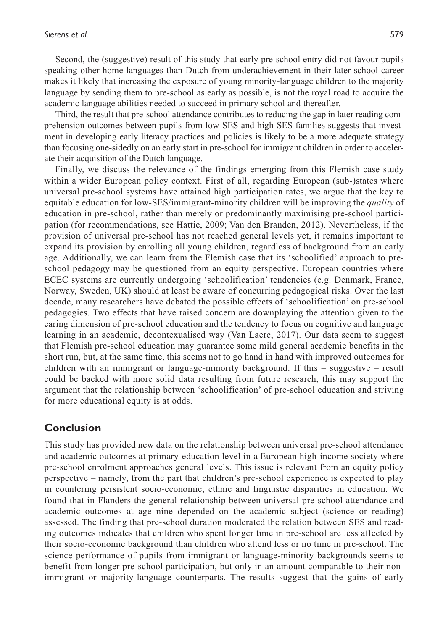Second, the (suggestive) result of this study that early pre-school entry did not favour pupils speaking other home languages than Dutch from underachievement in their later school career makes it likely that increasing the exposure of young minority-language children to the majority language by sending them to pre-school as early as possible, is not the royal road to acquire the academic language abilities needed to succeed in primary school and thereafter.

Third, the result that pre-school attendance contributes to reducing the gap in later reading comprehension outcomes between pupils from low-SES and high-SES families suggests that investment in developing early literacy practices and policies is likely to be a more adequate strategy than focusing one-sidedly on an early start in pre-school for immigrant children in order to accelerate their acquisition of the Dutch language.

Finally, we discuss the relevance of the findings emerging from this Flemish case study within a wider European policy context. First of all, regarding European (sub-)states where universal pre-school systems have attained high participation rates, we argue that the key to equitable education for low-SES/immigrant-minority children will be improving the *quality* of education in pre-school, rather than merely or predominantly maximising pre-school participation (for recommendations, see Hattie, 2009; Van den Branden, 2012). Nevertheless, if the provision of universal pre-school has not reached general levels yet, it remains important to expand its provision by enrolling all young children, regardless of background from an early age. Additionally, we can learn from the Flemish case that its 'schoolified' approach to preschool pedagogy may be questioned from an equity perspective. European countries where ECEC systems are currently undergoing 'schoolification' tendencies (e.g. Denmark, France, Norway, Sweden, UK) should at least be aware of concurring pedagogical risks. Over the last decade, many researchers have debated the possible effects of 'schoolification' on pre-school pedagogies. Two effects that have raised concern are downplaying the attention given to the caring dimension of pre-school education and the tendency to focus on cognitive and language learning in an academic, decontexualised way (Van Laere, 2017). Our data seem to suggest that Flemish pre-school education may guarantee some mild general academic benefits in the short run, but, at the same time, this seems not to go hand in hand with improved outcomes for children with an immigrant or language-minority background. If this – suggestive – result could be backed with more solid data resulting from future research, this may support the argument that the relationship between 'schoolification' of pre-school education and striving for more educational equity is at odds.

## **Conclusion**

This study has provided new data on the relationship between universal pre-school attendance and academic outcomes at primary-education level in a European high-income society where pre-school enrolment approaches general levels. This issue is relevant from an equity policy perspective – namely, from the part that children's pre-school experience is expected to play in countering persistent socio-economic, ethnic and linguistic disparities in education. We found that in Flanders the general relationship between universal pre-school attendance and academic outcomes at age nine depended on the academic subject (science or reading) assessed. The finding that pre-school duration moderated the relation between SES and reading outcomes indicates that children who spent longer time in pre-school are less affected by their socio-economic background than children who attend less or no time in pre-school. The science performance of pupils from immigrant or language-minority backgrounds seems to benefit from longer pre-school participation, but only in an amount comparable to their nonimmigrant or majority-language counterparts. The results suggest that the gains of early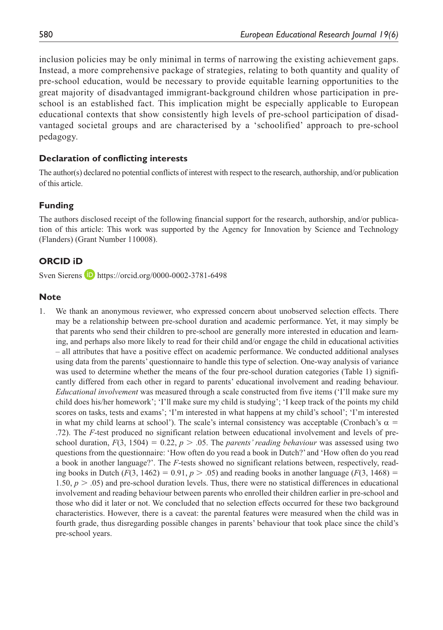inclusion policies may be only minimal in terms of narrowing the existing achievement gaps. Instead, a more comprehensive package of strategies, relating to both quantity and quality of pre-school education, would be necessary to provide equitable learning opportunities to the great majority of disadvantaged immigrant-background children whose participation in preschool is an established fact. This implication might be especially applicable to European educational contexts that show consistently high levels of pre-school participation of disadvantaged societal groups and are characterised by a 'schoolified' approach to pre-school pedagogy.

#### **Declaration of conflicting interests**

The author(s) declared no potential conflicts of interest with respect to the research, authorship, and/or publication of this article.

#### **Funding**

The authors disclosed receipt of the following financial support for the research, authorship, and/or publication of this article: This work was supported by the Agency for Innovation by Science and Technology (Flanders) (Grant Number 110008).

#### **ORCID iD**

Sven Sierens **b** <https://orcid.org/0000-0002-3781-6498>

#### **Note**

1. We thank an anonymous reviewer, who expressed concern about unobserved selection effects. There may be a relationship between pre-school duration and academic performance. Yet, it may simply be that parents who send their children to pre-school are generally more interested in education and learning, and perhaps also more likely to read for their child and/or engage the child in educational activities – all attributes that have a positive effect on academic performance. We conducted additional analyses using data from the parents' questionnaire to handle this type of selection. One-way analysis of variance was used to determine whether the means of the four pre-school duration categories (Table 1) significantly differed from each other in regard to parents' educational involvement and reading behaviour. *Educational involvement* was measured through a scale constructed from five items ('I'll make sure my child does his/her homework'; 'I'll make sure my child is studying'; 'I keep track of the points my child scores on tasks, tests and exams'; 'I'm interested in what happens at my child's school'; 'I'm interested in what my child learns at school'). The scale's internal consistency was acceptable (Cronbach's  $\alpha$  = .72). The *F*-test produced no significant relation between educational involvement and levels of preschool duration,  $F(3, 1504) = 0.22$ ,  $p > 0.05$ . The *parents' reading behaviour* was assessed using two questions from the questionnaire: 'How often do you read a book in Dutch?' and 'How often do you read a book in another language?'. The *F*-tests showed no significant relations between, respectively, reading books in Dutch  $(F(3, 1462) = 0.91, p > .05)$  and reading books in another language  $(F(3, 1468))$ 1.50,  $p > .05$ ) and pre-school duration levels. Thus, there were no statistical differences in educational involvement and reading behaviour between parents who enrolled their children earlier in pre-school and those who did it later or not. We concluded that no selection effects occurred for these two background characteristics. However, there is a caveat: the parental features were measured when the child was in fourth grade, thus disregarding possible changes in parents' behaviour that took place since the child's pre-school years.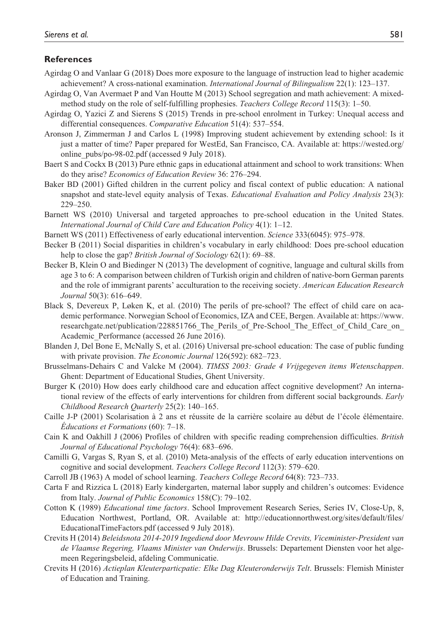#### **References**

- Agirdag O and Vanlaar G (2018) Does more exposure to the language of instruction lead to higher academic achievement? A cross-national examination. *International Journal of Bilingualism* 22(1): 123–137.
- Agirdag O, Van Avermaet P and Van Houtte M (2013) School segregation and math achievement: A mixedmethod study on the role of self-fulfilling prophesies. *Teachers College Record* 115(3): 1–50.
- Agirdag O, Yazici Z and Sierens S (2015) Trends in pre-school enrolment in Turkey: Unequal access and differential consequences. *Comparative Education* 51(4): 537–554.
- Aronson J, Zimmerman J and Carlos L (1998) Improving student achievement by extending school: Is it just a matter of time? Paper prepared for WestEd, San Francisco, CA. Available at: [https://wested.org/](https://wested.org/online_pubs/po-98-02.pdf) [online\\_pubs/po-98-02.pdf](https://wested.org/online_pubs/po-98-02.pdf) (accessed 9 July 2018).
- Baert S and Cockx B (2013) Pure ethnic gaps in educational attainment and school to work transitions: When do they arise? *Economics of Education Review* 36: 276–294.
- Baker BD (2001) Gifted children in the current policy and fiscal context of public education: A national snapshot and state-level equity analysis of Texas. *Educational Evaluation and Policy Analysis* 23(3): 229–250.
- Barnett WS (2010) Universal and targeted approaches to pre-school education in the United States. *International Journal of Child Care and Education Policy* 4(1): 1–12.
- Barnett WS (2011) Effectiveness of early educational intervention. *Science* 333(6045): 975–978.
- Becker B (2011) Social disparities in children's vocabulary in early childhood: Does pre-school education help to close the gap? *British Journal of Sociology* 62(1): 69–88.
- Becker B, Klein O and Biedinger N (2013) The development of cognitive, language and cultural skills from age 3 to 6: A comparison between children of Turkish origin and children of native-born German parents and the role of immigrant parents' acculturation to the receiving society. *American Education Research Journal* 50(3): 616–649.
- Black S, Devereux P, Løken K, et al. (2010) The perils of pre-school? The effect of child care on academic performance. Norwegian School of Economics, IZA and CEE, Bergen. Available at: [https://www.](https://www.researchgate.net/publication/228851766_The_Perils_of_Pre-School_The_Effect_of_Child_Care_on_Academic_Performance) researchgate.net/publication/228851766 The Perils of Pre-School The Effect of Child Care on Academic Performance (accessed 26 June 2016).
- Blanden J, Del Bone E, McNally S, et al. (2016) Universal pre-school education: The case of public funding with private provision. *The Economic Journal* 126(592): 682–723.
- Brusselmans-Dehairs C and Valcke M (2004). *TIMSS 2003: Grade 4 Vrijgegeven items Wetenschappen*. Ghent: Department of Educational Studies, Ghent University.
- Burger K (2010) How does early childhood care and education affect cognitive development? An international review of the effects of early interventions for children from different social backgrounds. *Early Childhood Research Quarterly* 25(2): 140–165.
- Caille J-P (2001) Scolarisation à 2 ans et réussite de la carrière scolaire au début de l'école élémentaire. *Éducations et Formations* (60): 7–18.
- Cain K and Oakhill J (2006) Profiles of children with specific reading comprehension difficulties. *British Journal of Educational Psychology* 76(4): 683–696.
- Camilli G, Vargas S, Ryan S, et al. (2010) Meta-analysis of the effects of early education interventions on cognitive and social development. *Teachers College Record* 112(3): 579–620.
- Carroll JB (1963) A model of school learning. *Teachers College Record* 64(8): 723–733.
- Carta F and Rizzica L (2018) Early kindergarten, maternal labor supply and children's outcomes: Evidence from Italy. *Journal of Public Economics* 158(C): 79–102.
- Cotton K (1989) *Educational time factors*. School Improvement Research Series, Series IV, Close-Up, 8, Education Northwest, Portland, OR. Available at: [http://educationnorthwest.org/sites/default/files/](http://educationnorthwest.org/sites/default/files/EducationalTimeFactors.pdf) [EducationalTimeFactors.pdf](http://educationnorthwest.org/sites/default/files/EducationalTimeFactors.pdf) (accessed 9 July 2018).
- Crevits H (2014) *Beleidsnota 2014-2019 Ingediend door Mevrouw Hilde Crevits, Viceminister-President van de Vlaamse Regering, Vlaams Minister van Onderwijs*. Brussels: Departement Diensten voor het algemeen Regeringsbeleid, afdeling Communicatie.
- Crevits H (2016) *Actieplan Kleuterparticpatie: Elke Dag Kleuteronderwijs Telt*. Brussels: Flemish Minister of Education and Training.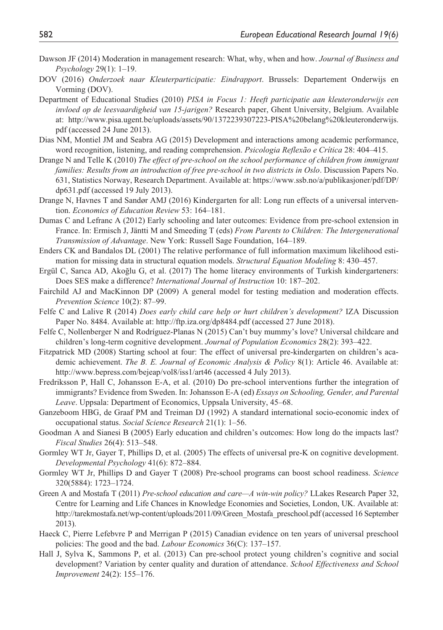- Dawson JF (2014) Moderation in management research: What, why, when and how. *Journal of Business and Psychology* 29(1): 1–19.
- DOV (2016) *Onderzoek naar Kleuterparticipatie: Eindrapport*. Brussels: Departement Onderwijs en Vorming (DOV).
- Department of Educational Studies (2010) *PISA in Focus 1: Heeft participatie aan kleuteronderwijs een invloed op de leesvaardigheid van 15-jarigen?* Research paper, Ghent University, Belgium. Available at: [http://www.pisa.ugent.be/uploads/assets/90/1372239307223-PISA%20belang%20kleuteronderwijs.](http://www.pisa.ugent.be/uploads/assets/90/1372239307223-PISA%20belang%20kleuteronderwijs.pdf) [pdf](http://www.pisa.ugent.be/uploads/assets/90/1372239307223-PISA%20belang%20kleuteronderwijs.pdf) (accessed 24 June 2013).
- Dias NM, Montiel JM and Seabra AG (2015) Development and interactions among academic performance, word recognition, listening, and reading comprehension. *Psicologia Reflexão e Crítica* 28: 404–415.
- Drange N and Telle K (2010) *The effect of pre-school on the school performance of children from immigrant families: Results from an introduction of free pre-school in two districts in Oslo*. Discussion Papers No. 631, Statistics Norway, Research Department. Available at: [https://www.ssb.no/a/publikasjoner/pdf/DP/](https://www.ssb.no/a/publikasjoner/pdf/DP/dp631.pdf) [dp631.pdf](https://www.ssb.no/a/publikasjoner/pdf/DP/dp631.pdf) (accessed 19 July 2013).
- Drange N, Havnes T and Sandør AMJ (2016) Kindergarten for all: Long run effects of a universal intervention. *Economics of Education Review* 53: 164–181.
- Dumas C and Lefranc A (2012) Early schooling and later outcomes: Evidence from pre-school extension in France. In: Ermisch J, Jäntti M and Smeeding T (eds) *From Parents to Children: The Intergenerational Transmission of Advantage*. New York: Russell Sage Foundation, 164–189.
- Enders CK and Bandalos DL (2001) The relative performance of full information maximum likelihood estimation for missing data in structural equation models. *Structural Equation Modeling* 8: 430–457.
- Ergül C, Sarıca AD, Akoğlu G, et al. (2017) The home literacy environments of Turkish kindergarteners: Does SES make a difference? *International Journal of Instruction* 10: 187–202.
- Fairchild AJ and MacKinnon DP (2009) A general model for testing mediation and moderation effects. *Prevention Science* 10(2): 87–99.
- Felfe C and Lalive R (2014) *Does early child care help or hurt children's development?* IZA Discussion Paper No. 8484. Available at: <http://ftp.iza.org/dp8484.pdf> (accessed 27 June 2018).
- Felfe C, Nollenberger N and Rodríguez-Planas N (2015) Can't buy mummy's love? Universal childcare and children's long-term cognitive development. *Journal of Population Economics* 28(2): 393–422.
- Fitzpatrick MD (2008) Starting school at four: The effect of universal pre-kindergarten on children's academic achievement. *The B. E. Journal of Economic Analysis & Policy* 8(1): Article 46. Available at: <http://www.bepress.com/bejeap/vol8/iss1/art46>(accessed 4 July 2013).
- Fredriksson P, Hall C, Johansson E-A, et al. (2010) Do pre-school interventions further the integration of immigrants? Evidence from Sweden. In: Johansson E-A (ed) *Essays on Schooling, Gender, and Parental Leave*. Uppsala: Department of Economics, Uppsala University, 45–68.
- Ganzeboom HBG, de Graaf PM and Treiman DJ (1992) A standard international socio-economic index of occupational status. *Social Science Research* 21(1): 1–56.
- Goodman A and Sianesi B (2005) Early education and children's outcomes: How long do the impacts last? *Fiscal Studies* 26(4): 513–548.
- Gormley WT Jr, Gayer T, Phillips D, et al. (2005) The effects of universal pre-K on cognitive development. *Developmental Psychology* 41(6): 872–884.
- Gormley WT Jr, Phillips D and Gayer T (2008) Pre-school programs can boost school readiness. *Science* 320(5884): 1723–1724.
- Green A and Mostafa T (2011) *Pre-school education and care—A win-win policy?* LLakes Research Paper 32, Centre for Learning and Life Chances in Knowledge Economies and Societies, London, UK. Available at: [http://tarekmostafa.net/wp-content/uploads/2011/09/Green\\_Mostafa\\_preschool.pdf](http://tarekmostafa.net/wp-content/uploads/2011/09/Green_Mostafa_preschool.pdf) (accessed 16 September 2013).
- Haeck C, Pierre Lefebvre P and Merrigan P (2015) Canadian evidence on ten years of universal preschool policies: The good and the bad. *Labour Economics* 36(C): 137–157.
- Hall J, Sylva K, Sammons P, et al. (2013) Can pre-school protect young children's cognitive and social development? Variation by center quality and duration of attendance. *School Effectiveness and School Improvement* 24(2): 155–176.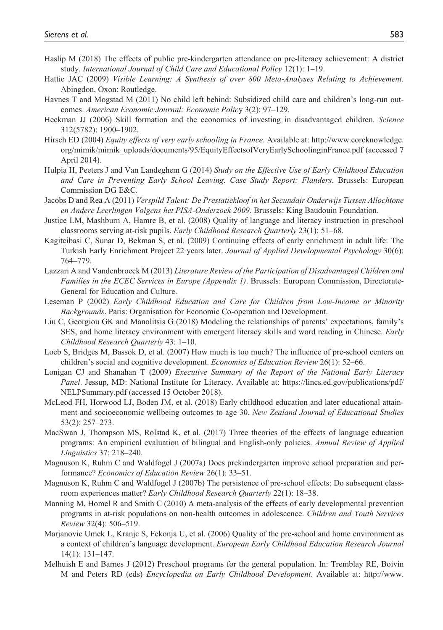- Haslip M (2018) The effects of public pre-kindergarten attendance on pre-literacy achievement: A district study. *International Journal of Child Care and Educational Policy* 12(1): 1–19.
- Hattie JAC (2009) *Visible Learning: A Synthesis of over 800 Meta-Analyses Relating to Achievement*. Abingdon, Oxon: Routledge.
- Havnes T and Mogstad M (2011) No child left behind: Subsidized child care and children's long-run outcomes. *American Economic Journal: Economic Polic*y 3(2): 97–129.
- Heckman JJ (2006) Skill formation and the economics of investing in disadvantaged children. *Science* 312(5782): 1900–1902.
- Hirsch ED (2004) *Equity effects of very early schooling in France*. Available at: [http://www.coreknowledge.](http://www.coreknowledge.org/mimik/mimik_uploads/documents/95/EquityEffectsofVeryEarlySchoolinginFrance.pdf) [org/mimik/mimik\\_uploads/documents/95/EquityEffectsofVeryEarlySchoolinginFrance.pdf](http://www.coreknowledge.org/mimik/mimik_uploads/documents/95/EquityEffectsofVeryEarlySchoolinginFrance.pdf) (accessed 7 April 2014).
- Hulpia H, Peeters J and Van Landeghem G (2014) *Study on the Effective Use of Early Childhood Education and Care in Preventing Early School Leaving. Case Study Report: Flanders*. Brussels: European Commission DG E&C.
- Jacobs D and Rea A (2011) *Verspild Talent: De Prestatiekloof in het Secundair Onderwijs Tussen Allochtone en Andere Leerlingen Volgens het PISA-Onderzoek 2009*. Brussels: King Baudouin Foundation.
- Justice LM, Mashburn A, Hamre B, et al. (2008) Quality of language and literacy instruction in preschool classrooms serving at-risk pupils. *Early Childhood Research Quarterly* 23(1): 51–68.
- Kagitcibasi C, Sunar D, Bekman S, et al. (2009) Continuing effects of early enrichment in adult life: The Turkish Early Enrichment Project 22 years later. *Journal of Applied Developmental Psychology* 30(6): 764–779.
- Lazzari A and Vandenbroeck M (2013) *Literature Review of the Participation of Disadvantaged Children and Families in the ECEC Services in Europe (Appendix 1)*. Brussels: European Commission, Directorate-General for Education and Culture.
- Leseman P (2002) *Early Childhood Education and Care for Children from Low-Income or Minority Backgrounds*. Paris: Organisation for Economic Co-operation and Development.
- Liu C, Georgiou GK and Manolitsis G (2018) Modeling the relationships of parents' expectations, family's SES, and home literacy environment with emergent literacy skills and word reading in Chinese. *Early Childhood Research Quarterly* 43: 1–10.
- Loeb S, Bridges M, Bassok D, et al. (2007) How much is too much? The influence of pre-school centers on children's social and cognitive development. *Economics of Education Review* 26(1): 52–66.
- Lonigan CJ and Shanahan T (2009) *Executive Summary of the Report of the National Early Literacy Panel*. Jessup, MD: National Institute for Literacy. Available at: [https://lincs.ed.gov/publications/pdf/](https://lincs.ed.gov/publications/pdf/NELPSummary.pdf) [NELPSummary.pdf](https://lincs.ed.gov/publications/pdf/NELPSummary.pdf) (accessed 15 October 2018).
- McLeod FH, Horwood LJ, Boden JM, et al. (2018) Early childhood education and later educational attainment and socioeconomic wellbeing outcomes to age 30. *New Zealand Journal of Educational Studies* 53(2): 257–273.
- MacSwan J, Thompson MS, Rolstad K, et al. (2017) Three theories of the effects of language education programs: An empirical evaluation of bilingual and English-only policies. *Annual Review of Applied Linguistics* 37: 218–240.
- Magnuson K, Ruhm C and Waldfogel J (2007a) Does prekindergarten improve school preparation and performance? *Economics of Education Review* 26(1): 33–51.
- Magnuson K, Ruhm C and Waldfogel J (2007b) The persistence of pre-school effects: Do subsequent classroom experiences matter? *Early Childhood Research Quarterly* 22(1): 18–38.
- Manning M, Homel R and Smith C (2010) A meta-analysis of the effects of early developmental prevention programs in at-risk populations on non-health outcomes in adolescence. *Children and Youth Services Review* 32(4): 506–519.
- Marjanovic Umek L, Kranjc S, Fekonja U, et al. (2006) Quality of the pre-school and home environment as a context of children's language development. *European Early Childhood Education Research Journal* 14(1): 131–147.
- Melhuish E and Barnes J (2012) Preschool programs for the general population. In: Tremblay RE, Boivin M and Peters RD (eds) *Encyclopedia on Early Childhood Development*. Available at: [http://www.](http://www.child-encyclopedia.com/preschool-programs/according-experts/preschool-programs-general-population)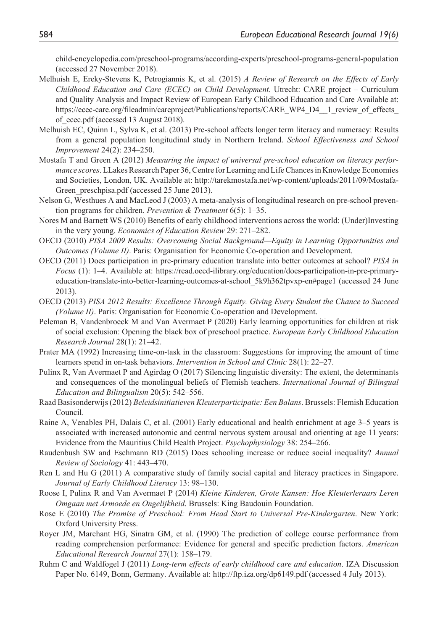[child-encyclopedia.com/preschool-programs/according-experts/preschool-programs-general-population](http://www.child-encyclopedia.com/preschool-programs/according-experts/preschool-programs-general-population)  (accessed 27 November 2018).

- Melhuish E, Ereky-Stevens K, Petrogiannis K, et al. (2015) *A Review of Research on the Effects of Early Childhood Education and Care (ECEC) on Child Development*. Utrecht: CARE project – Curriculum and Quality Analysis and Impact Review of European Early Childhood Education and Care Available at: https://ecec-care.org/fileadmin/careproject/Publications/reports/CARE\_WP4\_D4\_\_1\_review\_of\_effects [of\\_ecec.pdf](https://ecec-care.org/fileadmin/careproject/Publications/reports/CARE_WP4_D4__1_review_of_effects_of_ecec.pdf) (accessed 13 August 2018).
- Melhuish EC, Quinn L, Sylva K, et al. (2013) Pre-school affects longer term literacy and numeracy: Results from a general population longitudinal study in Northern Ireland. *School Effectiveness and School Improvement* 24(2): 234–250.
- Mostafa T and Green A (2012) *Measuring the impact of universal pre-school education on literacy performance scores*. LLakes Research Paper 36, Centre for Learning and Life Chances in Knowledge Economies and Societies, London, UK. Available at: [http://tarekmostafa.net/wp-content/uploads/2011/09/Mostafa-](http://tarekmostafa.net/wp-content/uploads/2011/09/Mostafa-Green_preschpisa.pdf)[Green\\_preschpisa.pdf](http://tarekmostafa.net/wp-content/uploads/2011/09/Mostafa-Green_preschpisa.pdf) (accessed 25 June 2013).
- Nelson G, Westhues A and MacLeod J (2003) A meta-analysis of longitudinal research on pre-school prevention programs for children. *Prevention & Treatment* 6(5): 1–35.
- Nores M and Barnett WS (2010) Benefits of early childhood interventions across the world: (Under)Investing in the very young. *Economics of Education Review* 29: 271–282.
- OECD (2010) *PISA 2009 Results: Overcoming Social Background—Equity in Learning Opportunities and Outcomes (Volume II)*. Paris: Organisation for Economic Co-operation and Development.
- OECD (2011) Does participation in pre-primary education translate into better outcomes at school? *PISA in Focus* (1): 1–4. Available at: [https://read.oecd-ilibrary.org/education/does-participation-in-pre-primary](https://read.oecd-ilibrary.org/education/does-participation-in-pre-primary-education-translate-into-better-learning-outcomes-at-school_5k9h362tpvxp-en#page1)education-translate-into-better-learning-outcomes-at-school 5k9h362tpvxp-en#page1 (accessed 24 June 2013).
- OECD (2013) *PISA 2012 Results: Excellence Through Equity. Giving Every Student the Chance to Succeed (Volume II)*. Paris: Organisation for Economic Co-operation and Development.
- Peleman B, Vandenbroeck M and Van Avermaet P (2020) Early learning opportunities for children at risk of social exclusion: Opening the black box of preschool practice. *European Early Childhood Education Research Journal* 28(1): 21–42.
- Prater MA (1992) Increasing time-on-task in the classroom: Suggestions for improving the amount of time learners spend in on-task behaviors. *Intervention in School and Clinic* 28(1): 22–27.
- Pulinx R, Van Avermaet P and Agirdag O (2017) Silencing linguistic diversity: The extent, the determinants and consequences of the monolingual beliefs of Flemish teachers. *International Journal of Bilingual Education and Bilingualism* 20(5): 542–556.
- Raad Basisonderwijs (2012) *Beleidsinitiatieven Kleuterparticipatie: Een Balans*. Brussels: Flemish Education Council.
- Raine A, Venables PH, Dalais C, et al. (2001) Early educational and health enrichment at age 3–5 years is associated with increased autonomic and central nervous system arousal and orienting at age 11 years: Evidence from the Mauritius Child Health Project. *Psychophysiology* 38: 254–266.
- Raudenbush SW and Eschmann RD (2015) Does schooling increase or reduce social inequality? *Annual Review of Sociology* 41: 443–470.
- Ren L and Hu G (2011) A comparative study of family social capital and literacy practices in Singapore. *Journal of Early Childhood Literacy* 13: 98–130.
- Roose I, Pulinx R and Van Avermaet P (2014) *Kleine Kinderen, Grote Kansen: Hoe Kleuterleraars Leren Omgaan met Armoede en Ongelijkheid*. Brussels: King Baudouin Foundation.
- Rose E (2010) *The Promise of Preschool: From Head Start to Universal Pre-Kindergarten*. New York: Oxford University Press.
- Royer JM, Marchant HG, Sinatra GM, et al. (1990) The prediction of college course performance from reading comprehension performance: Evidence for general and specific prediction factors. *American Educational Research Journal* 27(1): 158–179.
- Ruhm C and Waldfogel J (2011) *Long-term effects of early childhood care and education*. IZA Discussion Paper No. 6149, Bonn, Germany. Available at: <http://ftp.iza.org/dp6149.pdf>(accessed 4 July 2013).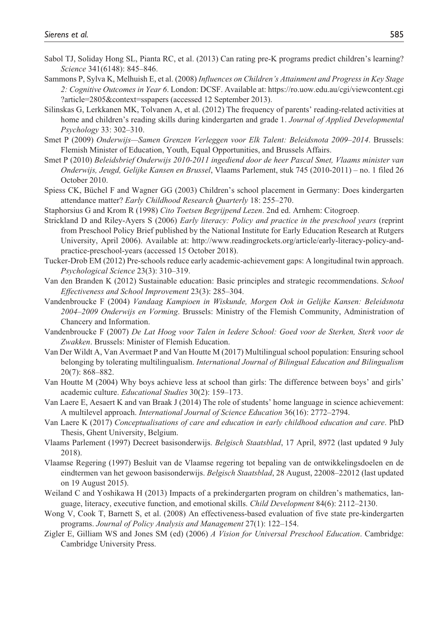- Sabol TJ, Soliday Hong SL, Pianta RC, et al. (2013) Can rating pre-K programs predict children's learning? *Science* 341(6148): 845–846.
- Sammons P, Sylva K, Melhuish E, et al. (2008) *Influences on Children's Attainment and Progress in Key Stage 2: Cognitive Outcomes in Year 6*. London: DCSF. Available at: [https://ro.uow.edu.au/cgi/viewcontent.cgi](https://ro.uow.edu.au/cgi/viewcontent.cgi?article=2805&context=sspapers) [?article=2805&context=sspapers](https://ro.uow.edu.au/cgi/viewcontent.cgi?article=2805&context=sspapers) (accessed 12 September 2013).
- Silinskas G, Lerkkanen MK, Tolvanen A, et al. (2012) The frequency of parents' reading-related activities at home and children's reading skills during kindergarten and grade 1. *Journal of Applied Developmental Psychology* 33: 302–310.
- Smet P (2009) *Onderwijs—Samen Grenzen Verleggen voor Elk Talent: Beleidsnota 2009–2014*. Brussels: Flemish Minister of Education, Youth, Equal Opportunities, and Brussels Affairs.
- Smet P (2010) *Beleidsbrief Onderwijs 2010-2011 ingediend door de heer Pascal Smet, Vlaams minister van Onderwijs, Jeugd, Gelijke Kansen en Brussel*, Vlaams Parlement, stuk 745 (2010-2011) – no. 1 filed 26 October 2010.
- Spiess CK, Büchel F and Wagner GG (2003) Children's school placement in Germany: Does kindergarten attendance matter? *Early Childhood Research Quarterly* 18: 255–270.
- Staphorsius G and Krom R (1998) *Cito Toetsen Begrijpend Lezen*. 2nd ed. Arnhem: Citogroep.
- Strickland D and Riley-Ayers S (2006) *Early literacy: Policy and practice in the preschool years* (reprint from Preschool Policy Brief published by the National Institute for Early Education Research at Rutgers University, April 2006). Available at: [http://www.readingrockets.org/article/early-literacy-policy-and](http://www.readingrockets.org/article/early-literacy-policy-and-practice-preschool-years)[practice-preschool-years](http://www.readingrockets.org/article/early-literacy-policy-and-practice-preschool-years) (accessed 15 October 2018).
- Tucker-Drob EM (2012) Pre-schools reduce early academic-achievement gaps: A longitudinal twin approach. *Psychological Science* 23(3): 310–319.
- Van den Branden K (2012) Sustainable education: Basic principles and strategic recommendations. *School Effectiveness and School Improvement* 23(3): 285–304.
- Vandenbroucke F (2004) *Vandaag Kampioen in Wiskunde, Morgen Ook in Gelijke Kansen: Beleidsnota 2004–2009 Onderwijs en Vorming*. Brussels: Ministry of the Flemish Community, Administration of Chancery and Information.
- Vandenbroucke F (2007) *De Lat Hoog voor Talen in Iedere School: Goed voor de Sterken, Sterk voor de Zwakken*. Brussels: Minister of Flemish Education.
- Van Der Wildt A, Van Avermaet P and Van Houtte M (2017) Multilingual school population: Ensuring school belonging by tolerating multilingualism. *International Journal of Bilingual Education and Bilingualism* 20(7): 868–882.
- Van Houtte M (2004) Why boys achieve less at school than girls: The difference between boys' and girls' academic culture. *Educational Studies* 30(2): 159–173.
- Van Laere E, Aesaert K and van Braak J (2014) The role of students' home language in science achievement: A multilevel approach. *International Journal of Science Education* 36(16): 2772–2794.
- Van Laere K (2017) *Conceptualisations of care and education in early childhood education and care*. PhD Thesis, Ghent University, Belgium.
- Vlaams Parlement (1997) Decreet basisonderwijs. *Belgisch Staatsblad*, 17 April, 8972 (last updated 9 July 2018).
- Vlaamse Regering (1997) Besluit van de Vlaamse regering tot bepaling van de ontwikkelingsdoelen en de eindtermen van het gewoon basisonderwijs. *Belgisch Staatsblad*, 28 August, 22008–22012 (last updated on 19 August 2015).
- Weiland C and Yoshikawa H (2013) Impacts of a prekindergarten program on children's mathematics, language, literacy, executive function, and emotional skills. *Child Development* 84(6): 2112–2130.
- Wong V, Cook T, Barnett S, et al. (2008) An effectiveness-based evaluation of five state pre-kindergarten programs. *Journal of Policy Analysis and Management* 27(1): 122–154.
- Zigler E, Gilliam WS and Jones SM (ed) (2006) *A Vision for Universal Preschool Education*. Cambridge: Cambridge University Press.